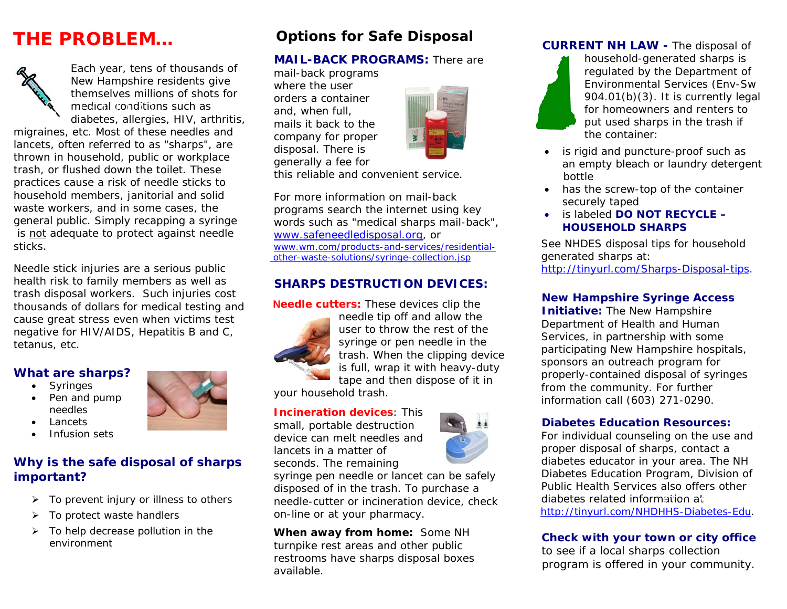# **THE PROBLEM…**



Each year, tens of thousands of New Hampshire residents give themselves millions of shots for medical conditions such as diabetes, allergies, HIV, arthritis,

migraines, etc. Most of these needles and lancets, often referred to as "sharps", are thrown in household, public or workplace trash, or flushed down the toilet. These practices cause a risk of needle sticks to household members, janitorial and solid waste workers, and in some cases, the general public. *Simply recapping a syringe is not adequate to protect against needle sticks.* 

Needle stick injuries are a serious public health risk to family members as well as trash disposal workers. Such injuries cost thousands of dollars for medical testing and cause great stress even when victims test negative for HIV/AIDS, Hepatitis B and C, tetanus, etc.

#### **What are sharps?**

- Syringes
- Pen and pump needles
- •**Lancets**
- •Infusion sets

## **Why is the safe disposal of sharps important?**

- ¾ To prevent injury or illness to others
- ¾To protect waste handlers
- $\triangleright$  To help decrease pollution in the environment

# **Options for Safe Disposal**

## **MAIL-BACK PROGRAMS:** There are

 mail-back programs where the user orders a container and, when full, mails it back to the company for proper disposal. There is generally a fee for



this reliable and convenient service.

 For more information on mail-back programs search the internet using key words such as "medical sharps mail-back", www.safeneedledisposal.org, or www.wm.com/products-and-services/residential other-waste-solutions/syringe-collection.jsp

### **SHARPS DESTRUCTION DEVICES:**

#### **Needle cutters:** These devices clip the



needle tip off and allow the user to throw the rest of the syringe or pen needle in the trash. When the clipping device is full, wrap it with heavy-duty tape and then dispose of it in

your household trash.

#### **Incineration devices**: This

 small, portable destruction device can melt needles and lancets in a matter of seconds. The remaining

 syringe pen needle or lancet can be safely disposed of in the trash. To purchase a needle-cutter or incineration device, check on-line or at your pharmacy.

 **When away from home:** Some NH turnpike rest areas and other public restrooms have sharps disposal boxes available.

### **CURRENT NH LAW -** The disposal of

household-generated sharps is regulated by the Department of Environmental Services (Env-Sw 904.01(b)(3). It is currently legal for homeowners and renters to put used sharps in the trash if the container:

- • is rigid and puncture-proof such as an empty bleach or laundry detergent bottle
- has the screw-top of the container securely taped
- is labeled **DO NOT RECYCLE HOUSEHOLD SHARPS**

 See NHDES disposal tips for household generated sharps at: http://tinyurl.com/Sharps-Disposal-tips.

## **New Hampshire Syringe Access**

**Initiative:** The New Hampshire Department of Health and Human Services, in partnership with some participating New Hampshire hospitals, sponsors an outreach program for properly-contained disposal of syringes from the community. For further information call (603) 271-0290.

#### **Diabetes Education Resources:**

 For individual counseling on the use and proper disposal of sharps, contact a diabetes educator in your area. The NH Diabetes Education Program, Division of Public Health Services also offers other diabetes related information at http://tinyurl.com/NHDHHS-Diabetes-Edu.

#### **Check with your town or city office**

to see if a local sharps collection program is offered in your community.